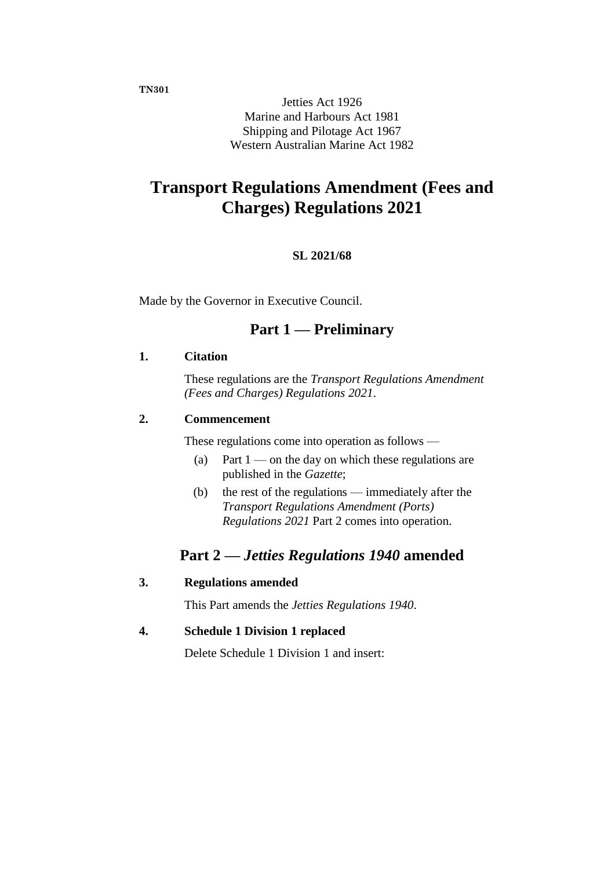**TN301**

Jetties Act 1926 Marine and Harbours Act 1981 Shipping and Pilotage Act 1967 Western Australian Marine Act 1982

# **Transport Regulations Amendment (Fees and Charges) Regulations 2021**

## **SL 2021/68**

Made by the Governor in Executive Council.

## **Part 1 — Preliminary**

## **1. Citation**

These regulations are the *Transport Regulations Amendment (Fees and Charges) Regulations 2021*.

## **2. Commencement**

These regulations come into operation as follows —

- (a) Part  $1$  on the day on which these regulations are published in the *Gazette*;
- (b) the rest of the regulations immediately after the *Transport Regulations Amendment (Ports) Regulations 2021* Part 2 comes into operation.

## **Part 2 —** *Jetties Regulations 1940* **amended**

## **3. Regulations amended**

This Part amends the *Jetties Regulations 1940*.

### **4. Schedule 1 Division 1 replaced**

Delete Schedule 1 Division 1 and insert: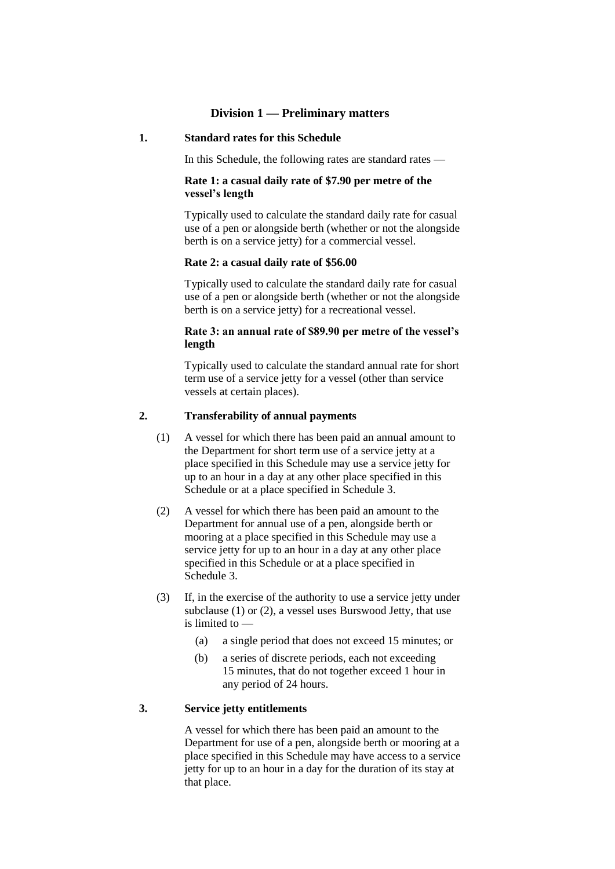#### **Division 1 — Preliminary matters**

#### **1. Standard rates for this Schedule**

In this Schedule, the following rates are standard rates —

#### **Rate 1: a casual daily rate of \$7.90 per metre of the vessel's length**

Typically used to calculate the standard daily rate for casual use of a pen or alongside berth (whether or not the alongside berth is on a service jetty) for a commercial vessel.

#### **Rate 2: a casual daily rate of \$56.00**

Typically used to calculate the standard daily rate for casual use of a pen or alongside berth (whether or not the alongside berth is on a service jetty) for a recreational vessel.

#### **Rate 3: an annual rate of \$89.90 per metre of the vessel's length**

Typically used to calculate the standard annual rate for short term use of a service jetty for a vessel (other than service vessels at certain places).

#### **2. Transferability of annual payments**

- (1) A vessel for which there has been paid an annual amount to the Department for short term use of a service jetty at a place specified in this Schedule may use a service jetty for up to an hour in a day at any other place specified in this Schedule or at a place specified in Schedule 3.
- (2) A vessel for which there has been paid an amount to the Department for annual use of a pen, alongside berth or mooring at a place specified in this Schedule may use a service jetty for up to an hour in a day at any other place specified in this Schedule or at a place specified in Schedule 3.
- (3) If, in the exercise of the authority to use a service jetty under subclause (1) or (2), a vessel uses Burswood Jetty, that use is limited to —
	- (a) a single period that does not exceed 15 minutes; or
	- (b) a series of discrete periods, each not exceeding 15 minutes, that do not together exceed 1 hour in any period of 24 hours.

#### **3. Service jetty entitlements**

A vessel for which there has been paid an amount to the Department for use of a pen, alongside berth or mooring at a place specified in this Schedule may have access to a service jetty for up to an hour in a day for the duration of its stay at that place.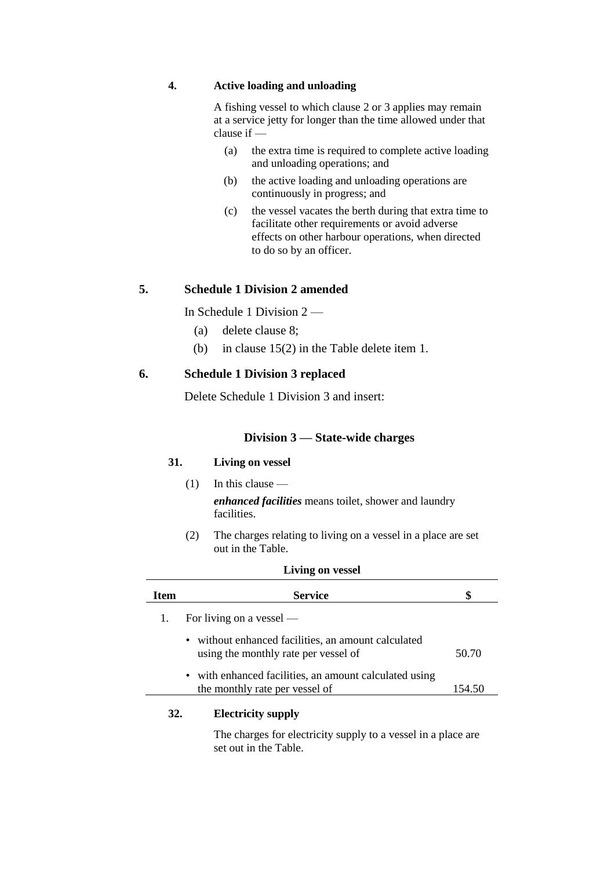### **4. Active loading and unloading**

A fishing vessel to which clause 2 or 3 applies may remain at a service jetty for longer than the time allowed under that clause if —

- (a) the extra time is required to complete active loading and unloading operations; and
- (b) the active loading and unloading operations are continuously in progress; and
- (c) the vessel vacates the berth during that extra time to facilitate other requirements or avoid adverse effects on other harbour operations, when directed to do so by an officer.

## **5. Schedule 1 Division 2 amended**

In Schedule 1 Division 2 —

- (a) delete clause 8;
- (b) in clause 15(2) in the Table delete item 1.

#### **6. Schedule 1 Division 3 replaced**

Delete Schedule 1 Division 3 and insert:

#### **Division 3 — State-wide charges**

#### **31. Living on vessel**

- $(1)$  In this clause *enhanced facilities* means toilet, shower and laundry facilities.
- (2) The charges relating to living on a vessel in a place are set out in the Table.

**Living on vessel**

| Item | <b>Service</b>                                                                                         | \$     |
|------|--------------------------------------------------------------------------------------------------------|--------|
|      | For living on a vessel $-$                                                                             |        |
|      | without enhanced facilities, an amount calculated<br>$\bullet$<br>using the monthly rate per vessel of | 50.70  |
|      | • with enhanced facilities, an amount calculated using<br>the monthly rate per vessel of               | 154.50 |
| 32.  | <b>Electricity supply</b>                                                                              |        |

The charges for electricity supply to a vessel in a place are set out in the Table.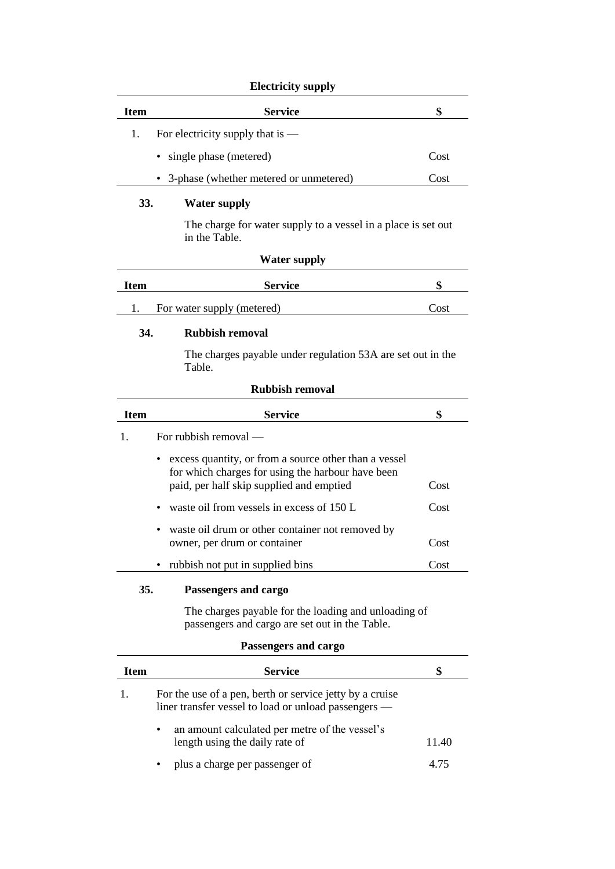### **Electricity supply**

| Item | <b>Service</b>                           | S    |
|------|------------------------------------------|------|
| 1.   | For electricity supply that is $-$       |      |
|      | • single phase (metered)                 | Cost |
|      | • 3-phase (whether metered or unmetered) | Cost |

### **33. Water supply**

The charge for water supply to a vessel in a place is set out in the Table.

## **Water supply**

| <b>Item</b> | <b>Service</b>             |      |
|-------------|----------------------------|------|
|             | For water supply (metered) | Cost |

### **34. Rubbish removal**

The charges payable under regulation 53A are set out in the Table.

| <b>Rubbish removal</b> |                                                                                                                                                        |      |  |
|------------------------|--------------------------------------------------------------------------------------------------------------------------------------------------------|------|--|
| <b>Item</b>            | <b>Service</b>                                                                                                                                         | \$   |  |
| 1.                     | For rubbish removal $-$                                                                                                                                |      |  |
|                        | excess quantity, or from a source other than a vessel<br>for which charges for using the harbour have been<br>paid, per half skip supplied and emptied | Cost |  |
|                        | • waste oil from vessels in excess of $150 L$                                                                                                          | Cost |  |
|                        | waste oil drum or other container not removed by<br>owner, per drum or container                                                                       | Cost |  |
|                        | • rubbish not put in supplied bins                                                                                                                     | Cost |  |
| <b>35.</b>             | Passengers and cargo<br>The charges payable for the loading and unloading of<br>passengers and cargo are set out in the Table.                         |      |  |
|                        | Passengers and cargo                                                                                                                                   |      |  |

| Item | <b>Service</b>                                                                                                   |       |
|------|------------------------------------------------------------------------------------------------------------------|-------|
|      | For the use of a pen, berth or service jetty by a cruise<br>liner transfer vessel to load or unload passengers — |       |
|      | an amount calculated per metre of the vessel's<br>length using the daily rate of                                 | 11.40 |
|      | plus a charge per passenger of                                                                                   | 4 75  |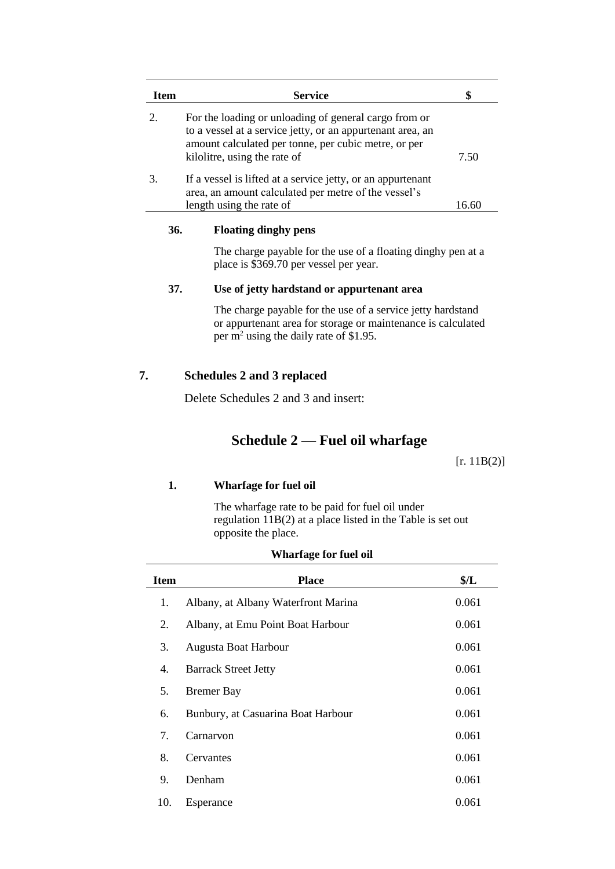| <b>Item</b> |     | <b>Service</b>                                                                                                                                                                                              | \$          |
|-------------|-----|-------------------------------------------------------------------------------------------------------------------------------------------------------------------------------------------------------------|-------------|
| 2.          |     | For the loading or unloading of general cargo from or<br>to a vessel at a service jetty, or an appurtenant area, an<br>amount calculated per tonne, per cubic metre, or per<br>kilolitre, using the rate of | 7.50        |
| 3.          |     | If a vessel is lifted at a service jetty, or an appurtenant<br>area, an amount calculated per metre of the vessel's<br>length using the rate of                                                             | 16.60       |
|             | 36. | <b>Floating dinghy pens</b>                                                                                                                                                                                 |             |
|             |     | The charge payable for the use of a floating dinghy pen at a<br>place is \$369.70 per vessel per year.                                                                                                      |             |
| 37.         |     | Use of jetty hardstand or appurtenant area                                                                                                                                                                  |             |
|             |     | The charge payable for the use of a service jetty hardstand<br>or appurtenant area for storage or maintenance is calculated<br>per m <sup>2</sup> using the daily rate of \$1.95.                           |             |
| 7.          |     | Schedules 2 and 3 replaced                                                                                                                                                                                  |             |
|             |     | Delete Schedules 2 and 3 and insert:                                                                                                                                                                        |             |
|             |     | Schedule $2$ — Fuel oil wharfage                                                                                                                                                                            |             |
|             |     |                                                                                                                                                                                                             | [r. 11B(2)] |
|             | 1.  | <b>Wharfage for fuel oil</b>                                                                                                                                                                                |             |
|             |     | The wharfage rate to be paid for fuel oil under<br>regulation $11B(2)$ at a place listed in the Table is set out<br>opposite the place.                                                                     |             |
|             |     | <b>TTTL A A A I 41</b>                                                                                                                                                                                      |             |

| <b>Item</b> | <b>Place</b>                        | \$/L\$ |
|-------------|-------------------------------------|--------|
| 1.          | Albany, at Albany Waterfront Marina | 0.061  |
| 2.          | Albany, at Emu Point Boat Harbour   | 0.061  |
| 3.          | Augusta Boat Harbour                | 0.061  |
| 4.          | <b>Barrack Street Jetty</b>         | 0.061  |
| 5.          | <b>Bremer Bay</b>                   | 0.061  |
| 6.          | Bunbury, at Casuarina Boat Harbour  | 0.061  |
| 7.          | Carnarvon                           | 0.061  |
| 8.          | Cervantes                           | 0.061  |
| 9.          | Denham                              | 0.061  |
| 10.         | Esperance                           | 0.061  |

#### **Wharfage for fuel oil**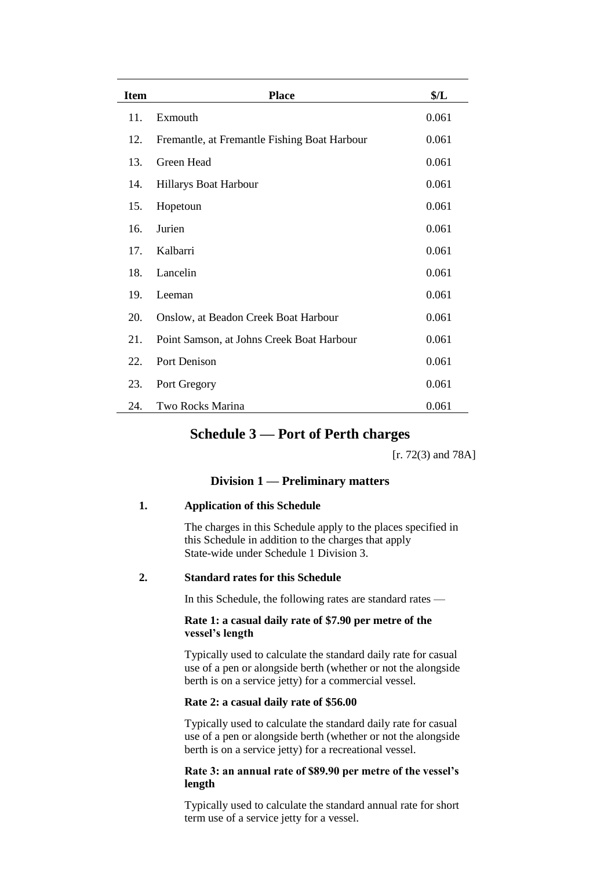| <b>Item</b> | <b>Place</b>                                 | \$/L  |
|-------------|----------------------------------------------|-------|
| 11.         | Exmouth                                      | 0.061 |
| 12.         | Fremantle, at Fremantle Fishing Boat Harbour | 0.061 |
| 13.         | Green Head                                   | 0.061 |
| 14.         | Hillarys Boat Harbour                        | 0.061 |
| 15.         | Hopetoun                                     | 0.061 |
| 16.         | Jurien                                       | 0.061 |
| 17.         | Kalbarri                                     | 0.061 |
| 18.         | Lancelin                                     | 0.061 |
| 19.         | Leeman                                       | 0.061 |
| 20.         | Onslow, at Beadon Creek Boat Harbour         | 0.061 |
| 21.         | Point Samson, at Johns Creek Boat Harbour    | 0.061 |
| 22.         | Port Denison                                 | 0.061 |
| 23.         | Port Gregory                                 | 0.061 |
| 24.         | Two Rocks Marina                             | 0.061 |

## **Schedule 3 — Port of Perth charges**

[r. 72(3) and 78A]

#### **Division 1 — Preliminary matters**

#### **1. Application of this Schedule**

The charges in this Schedule apply to the places specified in this Schedule in addition to the charges that apply State-wide under Schedule 1 Division 3.

#### **2. Standard rates for this Schedule**

In this Schedule, the following rates are standard rates —

#### **Rate 1: a casual daily rate of \$7.90 per metre of the vessel's length**

Typically used to calculate the standard daily rate for casual use of a pen or alongside berth (whether or not the alongside berth is on a service jetty) for a commercial vessel.

#### **Rate 2: a casual daily rate of \$56.00**

Typically used to calculate the standard daily rate for casual use of a pen or alongside berth (whether or not the alongside berth is on a service jetty) for a recreational vessel.

#### **Rate 3: an annual rate of \$89.90 per metre of the vessel's length**

Typically used to calculate the standard annual rate for short term use of a service jetty for a vessel.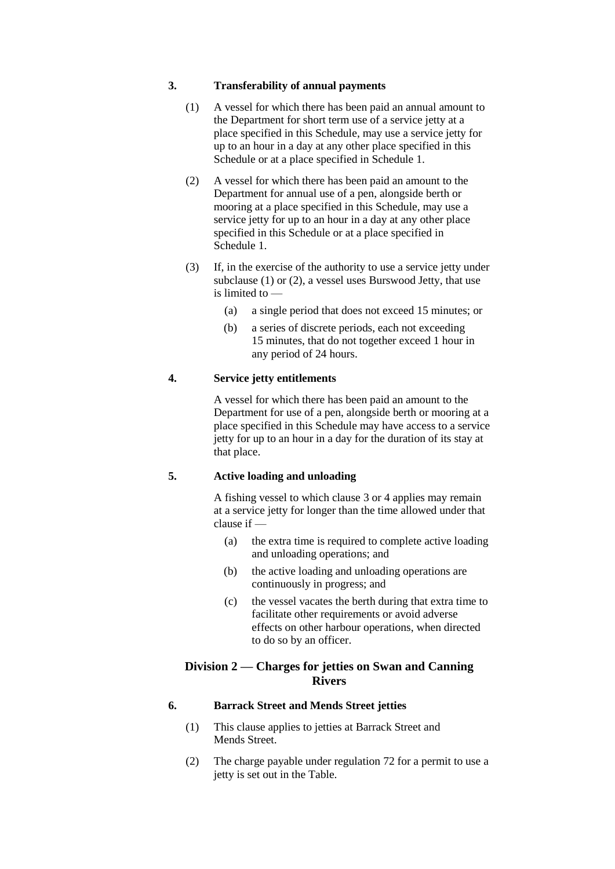#### **3. Transferability of annual payments**

- (1) A vessel for which there has been paid an annual amount to the Department for short term use of a service jetty at a place specified in this Schedule, may use a service jetty for up to an hour in a day at any other place specified in this Schedule or at a place specified in Schedule 1.
- (2) A vessel for which there has been paid an amount to the Department for annual use of a pen, alongside berth or mooring at a place specified in this Schedule, may use a service jetty for up to an hour in a day at any other place specified in this Schedule or at a place specified in Schedule 1.
- (3) If, in the exercise of the authority to use a service jetty under subclause (1) or (2), a vessel uses Burswood Jetty, that use is limited to —
	- (a) a single period that does not exceed 15 minutes; or
	- (b) a series of discrete periods, each not exceeding 15 minutes, that do not together exceed 1 hour in any period of 24 hours.

### **4. Service jetty entitlements**

A vessel for which there has been paid an amount to the Department for use of a pen, alongside berth or mooring at a place specified in this Schedule may have access to a service jetty for up to an hour in a day for the duration of its stay at that place.

## **5. Active loading and unloading**

A fishing vessel to which clause 3 or 4 applies may remain at a service jetty for longer than the time allowed under that clause if —

- (a) the extra time is required to complete active loading and unloading operations; and
- (b) the active loading and unloading operations are continuously in progress; and
- (c) the vessel vacates the berth during that extra time to facilitate other requirements or avoid adverse effects on other harbour operations, when directed to do so by an officer.

### **Division 2 — Charges for jetties on Swan and Canning Rivers**

### **6. Barrack Street and Mends Street jetties**

- (1) This clause applies to jetties at Barrack Street and Mends Street.
- (2) The charge payable under regulation 72 for a permit to use a jetty is set out in the Table.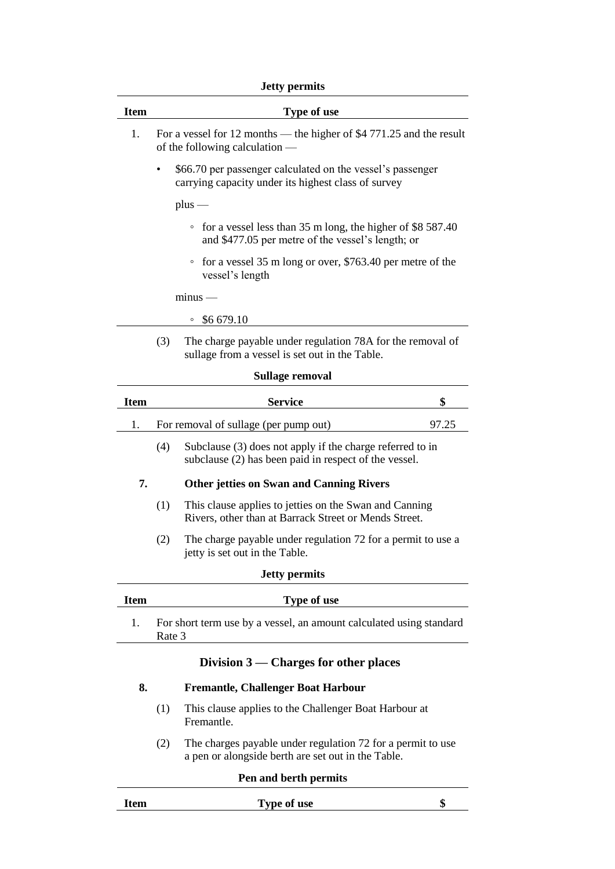## **Jetty permits**

|             | лену регшиз                                                                                                                |       |
|-------------|----------------------------------------------------------------------------------------------------------------------------|-------|
| <b>Item</b> | Type of use                                                                                                                |       |
| 1.          | For a vessel for 12 months — the higher of \$4 771.25 and the result<br>of the following calculation —                     |       |
|             | \$66.70 per passenger calculated on the vessel's passenger<br>carrying capacity under its highest class of survey          |       |
|             | $plus$ —                                                                                                                   |       |
|             | for a vessel less than 35 m long, the higher of \$8 587.40<br>$\circ$<br>and \$477.05 per metre of the vessel's length; or |       |
|             | for a vessel 35 m long or over, \$763.40 per metre of the<br>$\circ$<br>vessel's length                                    |       |
|             | $minus$ –                                                                                                                  |       |
|             | \$6 679.10<br>o                                                                                                            |       |
|             | The charge payable under regulation 78A for the removal of<br>(3)<br>sullage from a vessel is set out in the Table.        |       |
|             | Sullage removal                                                                                                            |       |
| <b>Item</b> | <b>Service</b>                                                                                                             | \$    |
| 1.          | For removal of sullage (per pump out)                                                                                      | 97.25 |
|             | (4)<br>Subclause (3) does not apply if the charge referred to in<br>subclause (2) has been paid in respect of the vessel.  |       |
| 7.          | <b>Other jetties on Swan and Canning Rivers</b>                                                                            |       |
|             | (1)<br>This clause applies to jetties on the Swan and Canning<br>Rivers, other than at Barrack Street or Mends Street.     |       |
|             | The charge payable under regulation 72 for a permit to use a<br>(2)<br>jetty is set out in the Table.                      |       |
|             | <b>Jetty permits</b>                                                                                                       |       |
| <b>Item</b> | <b>Type of use</b>                                                                                                         |       |
| 1.          | For short term use by a vessel, an amount calculated using standard<br>Rate 3                                              |       |
| 8.          | Division $3$ — Charges for other places<br><b>Fremantle, Challenger Boat Harbour</b>                                       |       |

- (1) This clause applies to the Challenger Boat Harbour at
	- Fremantle.
	- (2) The charges payable under regulation 72 for a permit to use a pen or alongside berth are set out in the Table.

#### **Pen and berth permits**

| Item | --<br>Type of use<br>- |  |
|------|------------------------|--|
|      |                        |  |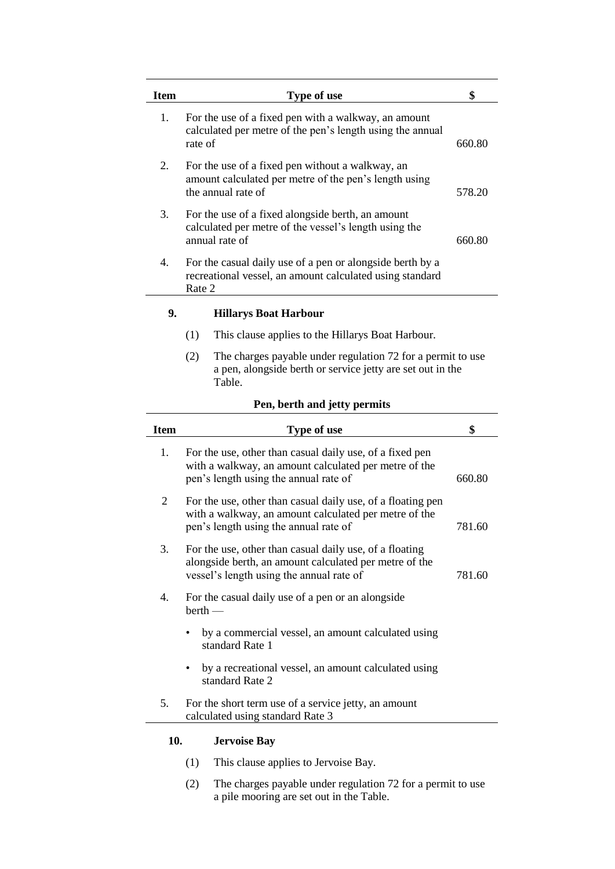| <b>Item</b> | <b>Type of use</b>                                                                                                              | \$     |
|-------------|---------------------------------------------------------------------------------------------------------------------------------|--------|
| 1.          | For the use of a fixed pen with a walkway, an amount<br>calculated per metre of the pen's length using the annual<br>rate of    | 660.80 |
| 2.          | For the use of a fixed pen without a walkway, an<br>amount calculated per metre of the pen's length using<br>the annual rate of | 578.20 |
| 3.          | For the use of a fixed alongside berth, an amount<br>calculated per metre of the vessel's length using the<br>annual rate of    | 660.80 |
| 4.          | For the casual daily use of a pen or alongside berth by a<br>recreational vessel, an amount calculated using standard<br>Rate 2 |        |

## **9. Hillarys Boat Harbour**

- (1) This clause applies to the Hillarys Boat Harbour.
- (2) The charges payable under regulation 72 for a permit to use a pen, alongside berth or service jetty are set out in the Table.

#### **Pen, berth and jetty permits**

| <b>Item</b> | Type of use                                                                                                                                                   | \$     |
|-------------|---------------------------------------------------------------------------------------------------------------------------------------------------------------|--------|
| 1.          | For the use, other than casual daily use, of a fixed pen<br>with a walkway, an amount calculated per metre of the<br>pen's length using the annual rate of    | 660.80 |
| 2           | For the use, other than casual daily use, of a floating pen<br>with a walkway, an amount calculated per metre of the<br>pen's length using the annual rate of | 781.60 |
| 3.          | For the use, other than casual daily use, of a floating<br>alongside berth, an amount calculated per metre of the<br>vessel's length using the annual rate of | 781.60 |
| 4.          | For the casual daily use of a pen or an alongside<br>$berth$ —                                                                                                |        |
|             | by a commercial vessel, an amount calculated using<br>standard Rate 1                                                                                         |        |
|             | by a recreational vessel, an amount calculated using<br>standard Rate 2                                                                                       |        |
| 5.          | For the short term use of a service jetty, an amount<br>calculated using standard Rate 3                                                                      |        |
| 10.         | <b>Jervoise Bay</b>                                                                                                                                           |        |

## (1) This clause applies to Jervoise Bay.

(2) The charges payable under regulation 72 for a permit to use a pile mooring are set out in the Table.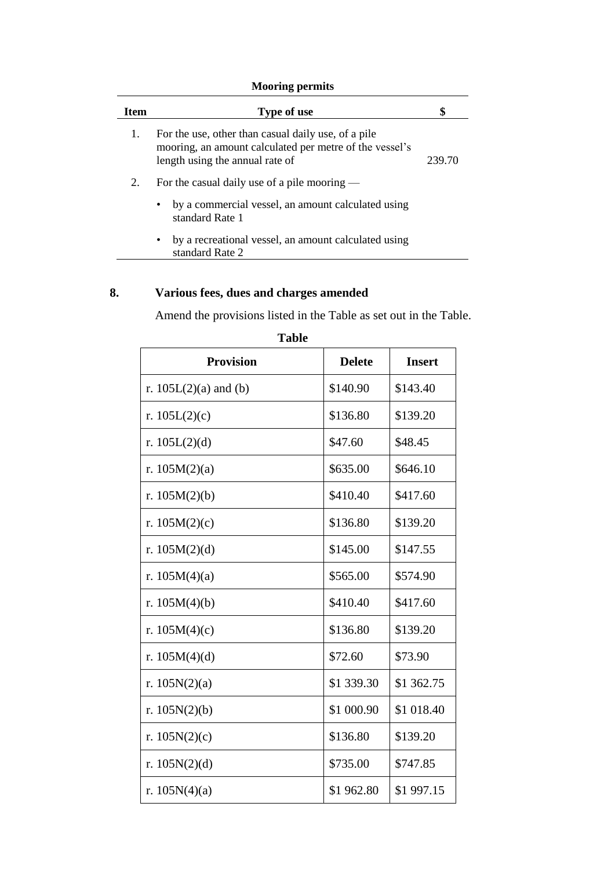## **Mooring permits**

| <b>Item</b> | Type of use                                                                                                                                       | \$     |
|-------------|---------------------------------------------------------------------------------------------------------------------------------------------------|--------|
| 1.          | For the use, other than casual daily use, of a pile<br>mooring, an amount calculated per metre of the vessel's<br>length using the annual rate of | 239.70 |
| 2.          | For the casual daily use of a pile mooring $-$                                                                                                    |        |
|             | by a commercial vessel, an amount calculated using<br>$\bullet$<br>standard Rate 1                                                                |        |
|             | by a recreational vessel, an amount calculated using<br>$\bullet$<br>standard Rate 2                                                              |        |

## **8. Various fees, dues and charges amended**

Amend the provisions listed in the Table as set out in the Table.

| <b>Provision</b>        | <b>Delete</b> | <b>Insert</b> |
|-------------------------|---------------|---------------|
| r. $105L(2)(a)$ and (b) | \$140.90      | \$143.40      |
| r. $105L(2)(c)$         | \$136.80      | \$139.20      |
| r. $105L(2)(d)$         | \$47.60       | \$48.45       |
| r. $105M(2)(a)$         | \$635.00      | \$646.10      |
| r. $105M(2)(b)$         | \$410.40      | \$417.60      |
| r. $105M(2)(c)$         | \$136.80      | \$139.20      |
| r. $105M(2)(d)$         | \$145.00      | \$147.55      |
| r. $105M(4)(a)$         | \$565.00      | \$574.90      |
| r. $105M(4)(b)$         | \$410.40      | \$417.60      |
| r. $105M(4)(c)$         | \$136.80      | \$139.20      |
| r. $105M(4)(d)$         | \$72.60       | \$73.90       |
| r. $105N(2)(a)$         | \$1 339.30    | \$1 362.75    |
| r. $105N(2)(b)$         | \$1 000.90    | \$1 018.40    |
| r. $105N(2)(c)$         | \$136.80      | \$139.20      |
| r. $105N(2)(d)$         | \$735.00      | \$747.85      |
| r. $105N(4)(a)$         | \$1962.80     | \$1 997.15    |

**Table**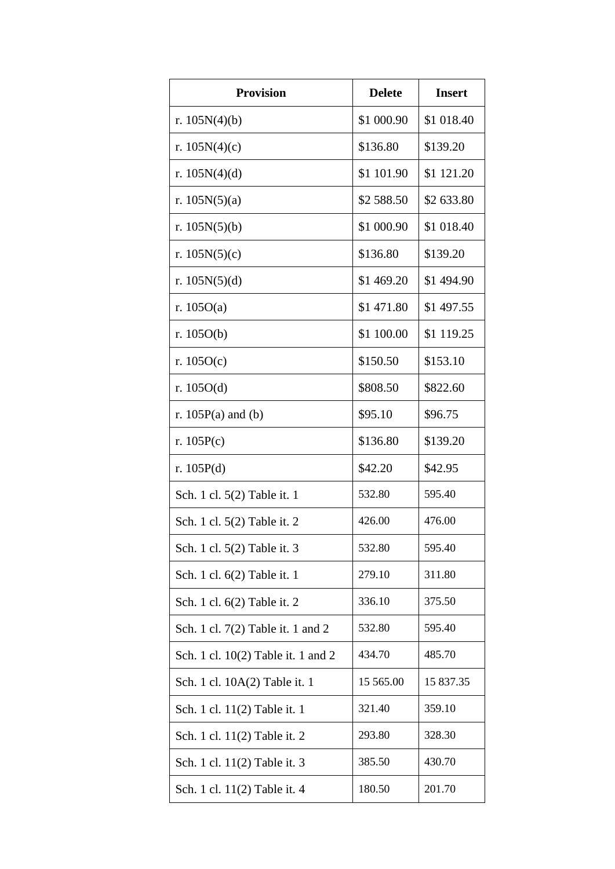| <b>Provision</b>                   | <b>Delete</b> | <b>Insert</b> |
|------------------------------------|---------------|---------------|
| r. $105N(4)(b)$                    | \$1 000.90    | \$1 018.40    |
| r. $105N(4)(c)$                    | \$136.80      | \$139.20      |
| r. $105N(4)(d)$                    | \$1 101.90    | \$1 121.20    |
| r. $105N(5)(a)$                    | \$2 588.50    | \$2 633.80    |
| r. $105N(5)(b)$                    | \$1 000.90    | \$1 018.40    |
| r. $105N(5)(c)$                    | \$136.80      | \$139.20      |
| r. $105N(5)(d)$                    | \$1 469.20    | \$1 494.90    |
| r. $105O(a)$                       | \$1471.80     | \$1 497.55    |
| r. $105O(b)$                       | \$1 100.00    | \$1 119.25    |
| r. $105O(c)$                       | \$150.50      | \$153.10      |
| r. $105O(d)$                       | \$808.50      | \$822.60      |
| r. $105P(a)$ and (b)               | \$95.10       | \$96.75       |
| r. $105P(c)$                       | \$136.80      | \$139.20      |
| r. $105P(d)$                       | \$42.20       | \$42.95       |
| Sch. 1 cl. 5(2) Table it. 1        | 532.80        | 595.40        |
| Sch. 1 cl. 5(2) Table it. 2        | 426.00        | 476.00        |
| Sch. 1 cl. 5(2) Table it. 3        | 532.80        | 595.40        |
| Sch. 1 cl. 6(2) Table it. 1        | 279.10        | 311.80        |
| Sch. 1 cl. 6(2) Table it. 2        | 336.10        | 375.50        |
| Sch. 1 cl. 7(2) Table it. 1 and 2  | 532.80        | 595.40        |
| Sch. 1 cl. 10(2) Table it. 1 and 2 | 434.70        | 485.70        |
| Sch. 1 cl. 10A(2) Table it. 1      | 15 565.00     | 15 837.35     |
| Sch. 1 cl. 11(2) Table it. 1       | 321.40        | 359.10        |
| Sch. 1 cl. 11(2) Table it. 2       | 293.80        | 328.30        |
| Sch. 1 cl. 11(2) Table it. 3       | 385.50        | 430.70        |
| Sch. 1 cl. 11(2) Table it. 4       | 180.50        | 201.70        |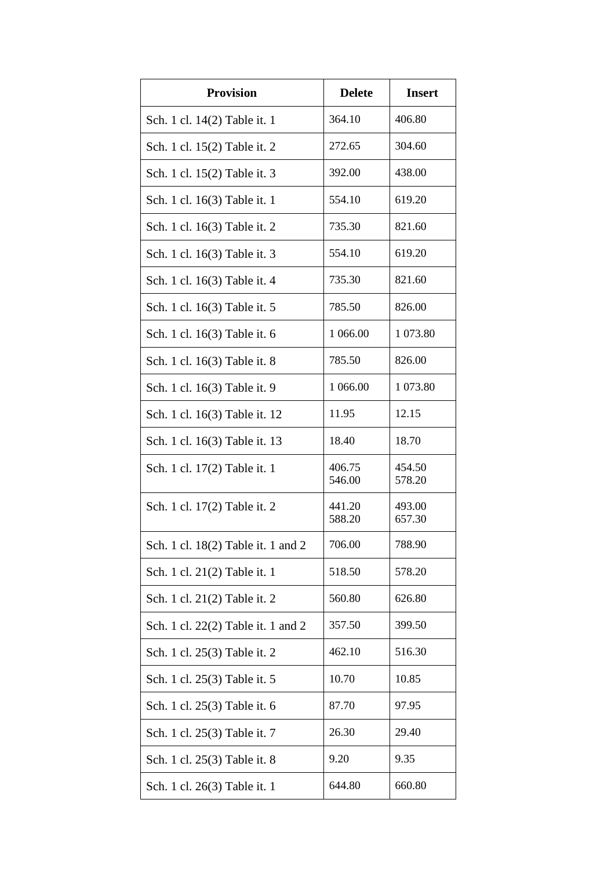| <b>Provision</b>                   | <b>Delete</b>    | <b>Insert</b>    |
|------------------------------------|------------------|------------------|
| Sch. 1 cl. 14(2) Table it. 1       | 364.10           | 406.80           |
| Sch. 1 cl. 15(2) Table it. 2       | 272.65           | 304.60           |
| Sch. 1 cl. 15(2) Table it. 3       | 392.00           | 438.00           |
| Sch. 1 cl. 16(3) Table it. 1       | 554.10           | 619.20           |
| Sch. 1 cl. 16(3) Table it. 2       | 735.30           | 821.60           |
| Sch. 1 cl. 16(3) Table it. 3       | 554.10           | 619.20           |
| Sch. 1 cl. 16(3) Table it. 4       | 735.30           | 821.60           |
| Sch. 1 cl. 16(3) Table it. 5       | 785.50           | 826.00           |
| Sch. 1 cl. 16(3) Table it. 6       | 1 066.00         | 1 073.80         |
| Sch. 1 cl. 16(3) Table it. 8       | 785.50           | 826.00           |
| Sch. 1 cl. 16(3) Table it. 9       | 1 066.00         | 1 073.80         |
| Sch. 1 cl. 16(3) Table it. 12      | 11.95            | 12.15            |
| Sch. 1 cl. 16(3) Table it. 13      | 18.40            | 18.70            |
| Sch. 1 cl. 17(2) Table it. 1       | 406.75<br>546.00 | 454.50<br>578.20 |
| Sch. 1 cl. 17(2) Table it. 2       | 441.20<br>588.20 | 493.00<br>657.30 |
| Sch. 1 cl. 18(2) Table it. 1 and 2 | 706.00           | 788.90           |
| Sch. 1 cl. 21(2) Table it. 1       | 518.50           | 578.20           |
| Sch. 1 cl. 21(2) Table it. 2       | 560.80           | 626.80           |
| Sch. 1 cl. 22(2) Table it. 1 and 2 | 357.50           | 399.50           |
| Sch. 1 cl. 25(3) Table it. 2       | 462.10           | 516.30           |
| Sch. 1 cl. 25(3) Table it. 5       | 10.70            | 10.85            |
| Sch. 1 cl. 25(3) Table it. 6       | 87.70            | 97.95            |
| Sch. 1 cl. 25(3) Table it. 7       | 26.30            | 29.40            |
| Sch. 1 cl. 25(3) Table it. 8       | 9.20             | 9.35             |
| Sch. 1 cl. 26(3) Table it. 1       | 644.80           | 660.80           |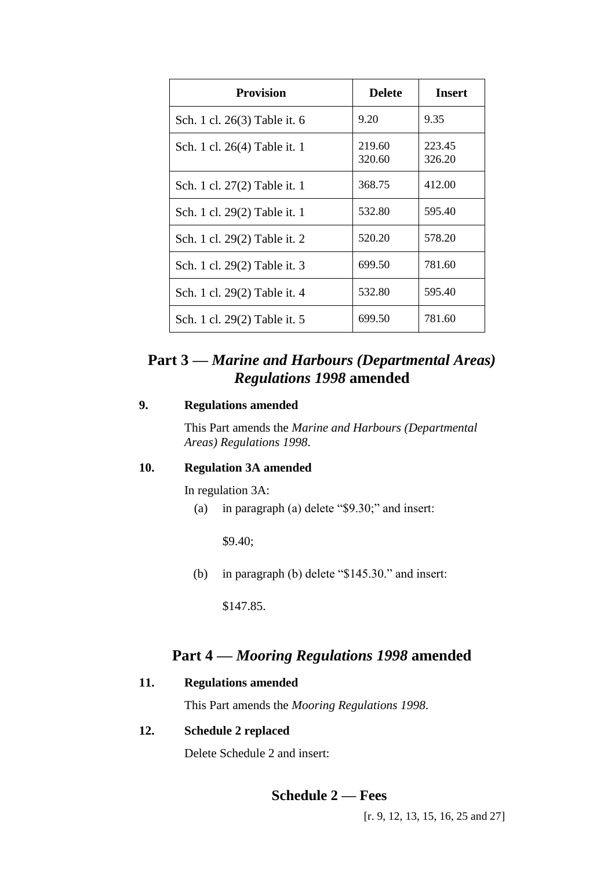| <b>Provision</b>             | <b>Delete</b>    | <b>Insert</b>    |
|------------------------------|------------------|------------------|
| Sch. 1 cl. 26(3) Table it. 6 | 9.20             | 9.35             |
| Sch. 1 cl. 26(4) Table it. 1 | 219.60<br>320.60 | 223.45<br>326.20 |
| Sch. 1 cl. 27(2) Table it. 1 | 368.75           | 412.00           |
| Sch. 1 cl. 29(2) Table it. 1 | 532.80           | 595.40           |
| Sch. 1 cl. 29(2) Table it. 2 | 520.20           | 578.20           |
| Sch. 1 cl. 29(2) Table it. 3 | 699.50           | 781.60           |
| Sch. 1 cl. 29(2) Table it. 4 | 532.80           | 595.40           |
| Sch. 1 cl. 29(2) Table it. 5 | 699.50           | 781.60           |

## **Part 3 —** *Marine and Harbours (Departmental Areas) Regulations 1998* **amended**

## **9. Regulations amended**

This Part amends the *Marine and Harbours (Departmental Areas) Regulations 1998*.

### **10. Regulation 3A amended**

In regulation 3A:

(a) in paragraph (a) delete "\$9.30;" and insert:

\$9.40;

(b) in paragraph (b) delete "\$145.30." and insert:

\$147.85.

## **Part 4 —** *Mooring Regulations 1998* **amended**

## **11. Regulations amended**

This Part amends the *Mooring Regulations 1998*.

## **12. Schedule 2 replaced**

Delete Schedule 2 and insert:

## **Schedule 2 — Fees**

[r. 9, 12, 13, 15, 16, 25 and 27]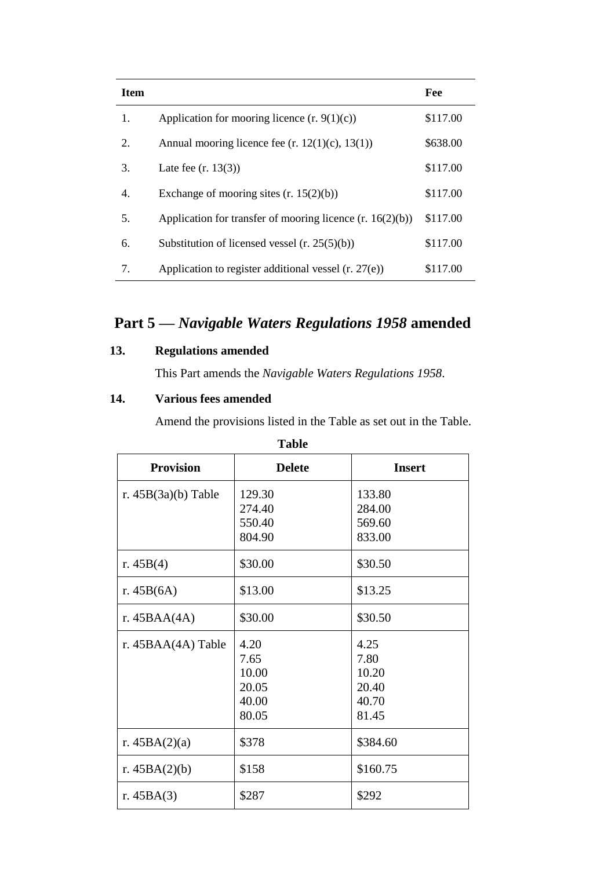| <b>Item</b> |                                                             | Fee      |
|-------------|-------------------------------------------------------------|----------|
| 1.          | Application for mooring licence $(r. 9(1)(c))$              | \$117.00 |
| 2.          | Annual mooring licence fee $(r. 12(1)(c), 13(1))$           | \$638.00 |
| 3.          | Late fee $(r. 13(3))$                                       | \$117.00 |
| 4.          | Exchange of mooring sites $(r. 15(2)(b))$                   | \$117.00 |
| 5.          | Application for transfer of mooring licence $(r. 16(2)(b))$ | \$117.00 |
| 6.          | Substitution of licensed vessel $(r. 25(5)(b))$             | \$117.00 |
| 7.          | Application to register additional vessel $(r. 27(e))$      | \$117.00 |

# **Part 5 —** *Navigable Waters Regulations 1958* **amended**

## **13. Regulations amended**

This Part amends the *Navigable Waters Regulations 1958*.

## **14. Various fees amended**

Amend the provisions listed in the Table as set out in the Table.

| 1 avie                |                                                  |                                                  |  |
|-----------------------|--------------------------------------------------|--------------------------------------------------|--|
| <b>Provision</b>      | <b>Delete</b>                                    | <b>Insert</b>                                    |  |
| r. $45B(3a)(b)$ Table | 129.30<br>274.40                                 | 133.80<br>284.00                                 |  |
|                       | 550.40<br>804.90                                 | 569.60<br>833.00                                 |  |
| r. $45B(4)$           | \$30.00                                          | \$30.50                                          |  |
| r. $45B(6A)$          | \$13.00                                          | \$13.25                                          |  |
| r. $45BAA(4A)$        | \$30.00                                          | \$30.50                                          |  |
| r. $45BAA(4A)$ Table  | 4.20<br>7.65<br>10.00<br>20.05<br>40.00<br>80.05 | 4.25<br>7.80<br>10.20<br>20.40<br>40.70<br>81.45 |  |
| r. $45BA(2)(a)$       | \$378                                            | \$384.60                                         |  |
| r. $45BA(2)(b)$       | \$158                                            | \$160.75                                         |  |
| r. $45BA(3)$          | \$287                                            | \$292                                            |  |

**Table**